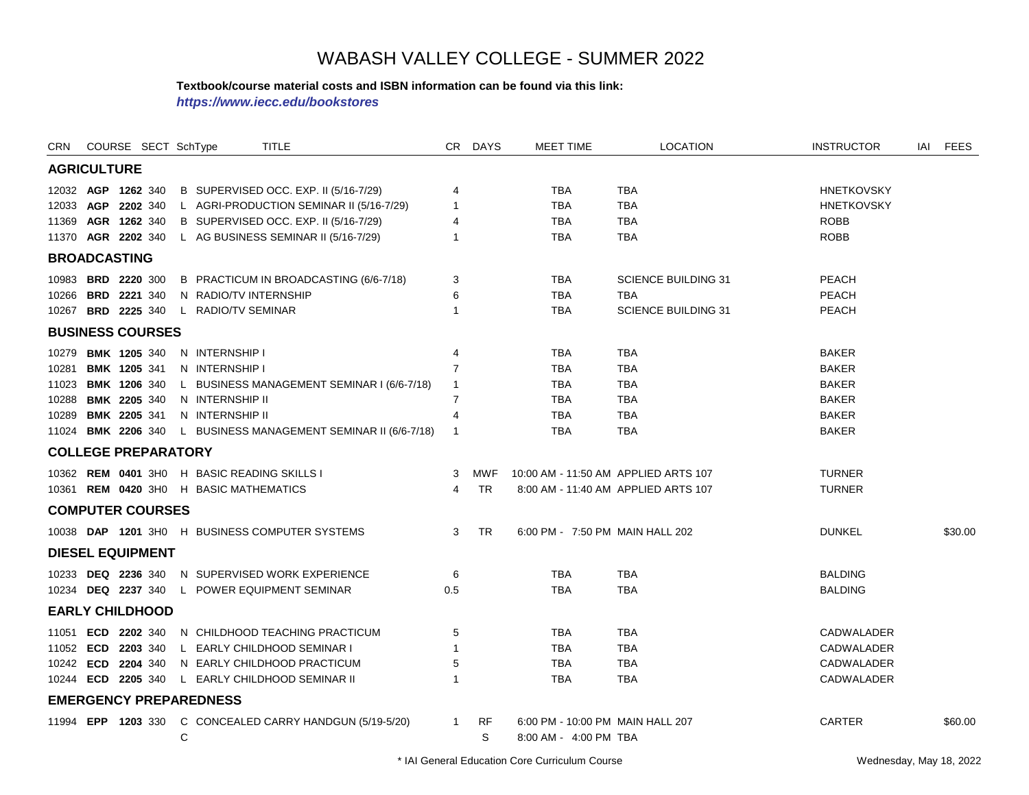#### **Textbook/course material costs and ISBN information can be found via this link:**

*https://www.iecc.edu/bookstores*

| <b>CRN</b>                       |                    | COURSE SECT SchType                                                                                                                                                                                                        |                                                                                                                                              | <b>TITLE</b>                                                                                                                                                       |                                                                                                       | CR DAYS          | <b>MEET TIME</b>                                                                                           | <b>LOCATION</b>                                                                                                  | <b>INSTRUCTOR</b>                                                                                                              | IAI | <b>FEES</b> |
|----------------------------------|--------------------|----------------------------------------------------------------------------------------------------------------------------------------------------------------------------------------------------------------------------|----------------------------------------------------------------------------------------------------------------------------------------------|--------------------------------------------------------------------------------------------------------------------------------------------------------------------|-------------------------------------------------------------------------------------------------------|------------------|------------------------------------------------------------------------------------------------------------|------------------------------------------------------------------------------------------------------------------|--------------------------------------------------------------------------------------------------------------------------------|-----|-------------|
|                                  | <b>AGRICULTURE</b> |                                                                                                                                                                                                                            |                                                                                                                                              |                                                                                                                                                                    |                                                                                                       |                  |                                                                                                            |                                                                                                                  |                                                                                                                                |     |             |
|                                  |                    | 12032 AGP 1262 340<br>12033 AGP 2202 340<br>11369 AGR 1262 340<br>11370 AGR 2202 340                                                                                                                                       |                                                                                                                                              | B SUPERVISED OCC. EXP. II (5/16-7/29)<br>L AGRI-PRODUCTION SEMINAR II (5/16-7/29)<br>B SUPERVISED OCC. EXP. II (5/16-7/29)<br>L AG BUSINESS SEMINAR II (5/16-7/29) | 4<br>$\overline{1}$<br>4<br>$\overline{1}$                                                            |                  | <b>TBA</b><br><b>TBA</b><br><b>TBA</b><br><b>TBA</b>                                                       | <b>TBA</b><br><b>TBA</b><br><b>TBA</b><br><b>TBA</b>                                                             | <b>HNETKOVSKY</b><br><b>HNETKOVSKY</b><br><b>ROBB</b><br><b>ROBB</b>                                                           |     |             |
|                                  |                    | <b>BROADCASTING</b>                                                                                                                                                                                                        |                                                                                                                                              |                                                                                                                                                                    |                                                                                                       |                  |                                                                                                            |                                                                                                                  |                                                                                                                                |     |             |
| 10266                            |                    | 10983 BRD 2220 300<br><b>BRD 2221 340</b><br>10267 BRD 2225 340                                                                                                                                                            | N RADIO/TV INTERNSHIP<br>L RADIO/TV SEMINAR                                                                                                  | B PRACTICUM IN BROADCASTING (6/6-7/18)                                                                                                                             | 3<br>6<br>$\overline{1}$                                                                              |                  | TBA<br><b>TBA</b><br><b>TBA</b>                                                                            | <b>SCIENCE BUILDING 31</b><br><b>TBA</b><br><b>SCIENCE BUILDING 31</b>                                           | <b>PEACH</b><br>PEACH<br>PEACH                                                                                                 |     |             |
|                                  |                    | <b>BUSINESS COURSES</b>                                                                                                                                                                                                    |                                                                                                                                              |                                                                                                                                                                    |                                                                                                       |                  |                                                                                                            |                                                                                                                  |                                                                                                                                |     |             |
| 10279<br>10281<br>10288<br>10289 |                    | <b>BMK 1205 340</b><br><b>BMK 1205 341</b><br>11023 BMK 1206 340<br><b>BMK 2205 340</b><br>BMK 2205 341<br>11024 <b>BMK 2206</b> 340<br><b>COLLEGE PREPARATORY</b><br>10362 <b>REM 0401</b> 3H0<br><b>COMPUTER COURSES</b> | N INTERNSHIP I<br>N INTERNSHIP I<br>N INTERNSHIP II<br>N INTERNSHIP II<br>H BASIC READING SKILLS I<br>10361 REM 0420 3H0 H BASIC MATHEMATICS | L BUSINESS MANAGEMENT SEMINAR I (6/6-7/18)<br>L BUSINESS MANAGEMENT SEMINAR II (6/6-7/18)                                                                          | 4<br>$\overline{7}$<br>$\overline{1}$<br>$\overline{7}$<br>$\overline{4}$<br>$\overline{1}$<br>3<br>4 | MWF<br><b>TR</b> | TBA<br><b>TBA</b><br><b>TBA</b><br><b>TBA</b><br><b>TBA</b><br>TBA<br>10:00 AM - 11:50 AM APPLIED ARTS 107 | <b>TBA</b><br><b>TBA</b><br><b>TBA</b><br><b>TBA</b><br><b>TBA</b><br>TBA<br>8:00 AM - 11:40 AM APPLIED ARTS 107 | <b>BAKER</b><br><b>BAKER</b><br><b>BAKER</b><br><b>BAKER</b><br><b>BAKER</b><br><b>BAKER</b><br><b>TURNER</b><br><b>TURNER</b> |     |             |
|                                  |                    |                                                                                                                                                                                                                            |                                                                                                                                              | 10038 DAP 1201 3H0 H BUSINESS COMPUTER SYSTEMS                                                                                                                     | $\mathbf{3}$                                                                                          | <b>TR</b>        | 6:00 PM - 7:50 PM MAIN HALL 202                                                                            |                                                                                                                  | <b>DUNKEL</b>                                                                                                                  |     | \$30.00     |
|                                  |                    | <b>DIESEL EQUIPMENT</b>                                                                                                                                                                                                    |                                                                                                                                              |                                                                                                                                                                    |                                                                                                       |                  |                                                                                                            |                                                                                                                  |                                                                                                                                |     |             |
|                                  |                    | 10233 DEQ 2236 340<br>10234 DEQ 2237 340                                                                                                                                                                                   |                                                                                                                                              | N SUPERVISED WORK EXPERIENCE<br>L POWER EQUIPMENT SEMINAR                                                                                                          | 6<br>0.5                                                                                              |                  | <b>TBA</b><br><b>TBA</b>                                                                                   | <b>TBA</b><br><b>TBA</b>                                                                                         | <b>BALDING</b><br><b>BALDING</b>                                                                                               |     |             |
|                                  |                    | <b>EARLY CHILDHOOD</b>                                                                                                                                                                                                     |                                                                                                                                              |                                                                                                                                                                    |                                                                                                       |                  |                                                                                                            |                                                                                                                  |                                                                                                                                |     |             |
| 10242                            |                    | 11051 <b>ECD 2202</b> 340<br>11052 ECD 2203 340<br>ECD 2204 340<br>10244 ECD 2205 340                                                                                                                                      |                                                                                                                                              | N CHILDHOOD TEACHING PRACTICUM<br>L EARLY CHILDHOOD SEMINAR I<br>N EARLY CHILDHOOD PRACTICUM<br>L EARLY CHILDHOOD SEMINAR II                                       | 5<br>$\overline{1}$<br>5<br>-1                                                                        |                  | TBA<br><b>TBA</b><br><b>TBA</b><br><b>TBA</b>                                                              | <b>TBA</b><br><b>TBA</b><br><b>TBA</b><br><b>TBA</b>                                                             | CADWALADER<br>CADWALADER<br>CADWALADER<br><b>CADWALADER</b>                                                                    |     |             |
|                                  |                    |                                                                                                                                                                                                                            | <b>EMERGENCY PREPAREDNESS</b>                                                                                                                |                                                                                                                                                                    |                                                                                                       |                  |                                                                                                            |                                                                                                                  |                                                                                                                                |     |             |
|                                  |                    |                                                                                                                                                                                                                            | C                                                                                                                                            | 11994 EPP 1203 330 C CONCEALED CARRY HANDGUN (5/19-5/20)                                                                                                           | $\mathbf{1}$                                                                                          | RF<br>S          | 6:00 PM - 10:00 PM MAIN HALL 207<br>8:00 AM - 4:00 PM TBA                                                  |                                                                                                                  | CARTER                                                                                                                         |     | \$60.00     |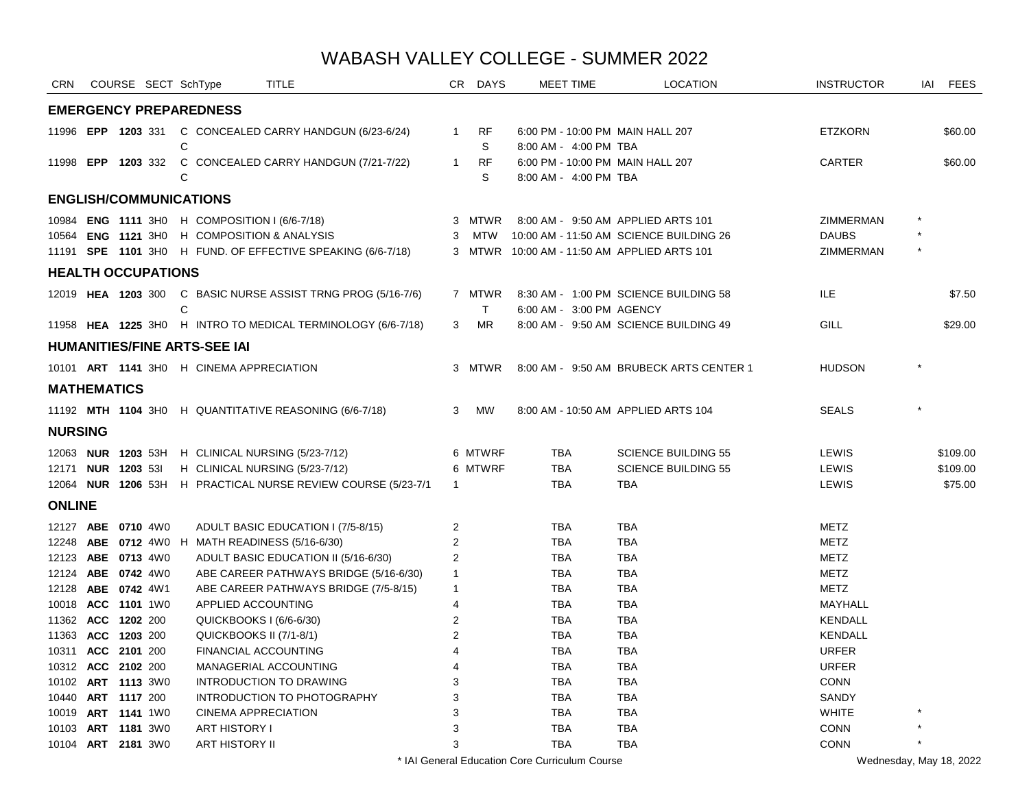| <b>CRN</b>                               |              | COURSE SECT SchType |              |                                               | <b>TITLE</b>                                                 |                | CR DAYS   | MEET TIME                                   | <b>LOCATION</b>                         | <b>INSTRUCTOR</b>    | IAI     | <b>FEES</b> |
|------------------------------------------|--------------|---------------------|--------------|-----------------------------------------------|--------------------------------------------------------------|----------------|-----------|---------------------------------------------|-----------------------------------------|----------------------|---------|-------------|
|                                          |              |                     |              | <b>EMERGENCY PREPAREDNESS</b>                 |                                                              |                |           |                                             |                                         |                      |         |             |
|                                          |              |                     |              |                                               | 11996 EPP 1203 331 C CONCEALED CARRY HANDGUN (6/23-6/24)     | $\overline{1}$ | <b>RF</b> | 6:00 PM - 10:00 PM MAIN HALL 207            |                                         | <b>ETZKORN</b>       |         | \$60.00     |
|                                          |              |                     | C            |                                               |                                                              |                | S         | 8:00 AM - 4:00 PM TBA                       |                                         |                      |         |             |
| 11998 EPP 1203 332                       |              |                     |              |                                               | C CONCEALED CARRY HANDGUN (7/21-7/22)                        | $\mathbf{1}$   | <b>RF</b> | 6:00 PM - 10:00 PM MAIN HALL 207            |                                         | CARTER               |         | \$60.00     |
|                                          |              |                     | C            |                                               |                                                              |                | S         | 8:00 AM - 4:00 PM TBA                       |                                         |                      |         |             |
| <b>ENGLISH/COMMUNICATIONS</b>            |              |                     |              |                                               |                                                              |                |           |                                             |                                         |                      |         |             |
|                                          |              |                     |              | 10984 ENG 1111 3H0 H COMPOSITION I (6/6-7/18) |                                                              |                | 3 MTWR    |                                             | 8:00 AM - 9:50 AM APPLIED ARTS 101      | ZIMMERMAN            |         |             |
| 10564 ENG 1121 3H0                       |              |                     |              |                                               | <b>H</b> COMPOSITION & ANALYSIS                              |                | 3 MTW     |                                             | 10:00 AM - 11:50 AM SCIENCE BUILDING 26 | <b>DAUBS</b>         |         |             |
|                                          |              |                     |              |                                               | 11191 SPE 1101 3HO H FUND. OF EFFECTIVE SPEAKING (6/6-7/18)  |                |           | 3 MTWR 10:00 AM - 11:50 AM APPLIED ARTS 101 |                                         | ZIMMERMAN            |         |             |
| <b>HEALTH OCCUPATIONS</b>                |              |                     |              |                                               |                                                              |                |           |                                             |                                         |                      |         |             |
| 12019 HEA 1203 300                       |              |                     |              |                                               | C BASIC NURSE ASSIST TRNG PROG (5/16-7/6)                    |                | 7 MTWR    |                                             | 8:30 AM - 1:00 PM SCIENCE BUILDING 58   | <b>ILE</b>           |         | \$7.50      |
|                                          |              |                     | $\mathsf{C}$ |                                               |                                                              |                | T.        | 6:00 AM - 3:00 PM AGENCY                    |                                         |                      |         |             |
|                                          |              |                     |              |                                               | 11958 HEA 1225 3H0 H INTRO TO MEDICAL TERMINOLOGY (6/6-7/18) | 3              | <b>MR</b> |                                             | 8:00 AM - 9:50 AM SCIENCE BUILDING 49   | <b>GILL</b>          |         | \$29.00     |
|                                          |              |                     |              | <b>HUMANITIES/FINE ARTS-SEE IAI</b>           |                                                              |                |           |                                             |                                         |                      |         |             |
|                                          |              |                     |              | 10101 ART 1141 3H0 H CINEMA APPRECIATION      |                                                              |                | 3 MTWR    |                                             | 8:00 AM - 9:50 AM BRUBECK ARTS CENTER 1 | <b>HUDSON</b>        |         |             |
| <b>MATHEMATICS</b>                       |              |                     |              |                                               |                                                              |                |           |                                             |                                         |                      |         |             |
|                                          |              |                     |              |                                               | 11192 MTH 1104 3H0 H QUANTITATIVE REASONING (6/6-7/18)       | 3              | <b>MW</b> |                                             | 8:00 AM - 10:50 AM APPLIED ARTS 104     | <b>SEALS</b>         |         |             |
| <b>NURSING</b>                           |              |                     |              |                                               |                                                              |                |           |                                             |                                         |                      |         |             |
| 12063 NUR 1203 53H                       |              |                     |              |                                               | H CLINICAL NURSING (5/23-7/12)                               |                | 6 MTWRF   | <b>TBA</b>                                  | <b>SCIENCE BUILDING 55</b>              | LEWIS                |         | \$109.00    |
| 12171 NUR 1203 531                       |              |                     |              |                                               | H CLINICAL NURSING (5/23-7/12)                               |                | 6 MTWRF   | <b>TBA</b>                                  | <b>SCIENCE BUILDING 55</b>              | LEWIS                |         | \$109.00    |
| 12064 NUR 1206 53H                       |              |                     |              |                                               | H PRACTICAL NURSE REVIEW COURSE (5/23-7/1                    | $\mathbf{1}$   |           | <b>TBA</b>                                  | <b>TBA</b>                              | LEWIS                |         | \$75.00     |
| <b>ONLINE</b>                            |              |                     |              |                                               |                                                              |                |           |                                             |                                         |                      |         |             |
| 12127 ABE 0710 4W0                       |              |                     |              |                                               | ADULT BASIC EDUCATION I (7/5-8/15)                           | 2              |           | TBA                                         | <b>TBA</b>                              | <b>METZ</b>          |         |             |
|                                          |              |                     |              |                                               | 12248 ABE 0712 4W0 H MATH READINESS (5/16-6/30)              | 2              |           | <b>TBA</b>                                  | <b>TBA</b>                              | <b>METZ</b>          |         |             |
| 12123 ABE 0713 4W0                       |              |                     |              |                                               | ADULT BASIC EDUCATION II (5/16-6/30)                         | 2              |           | <b>TBA</b>                                  | <b>TBA</b>                              | <b>METZ</b>          |         |             |
| 12124 ABE 0742 4W0                       |              |                     |              |                                               | ABE CAREER PATHWAYS BRIDGE (5/16-6/30)                       | $\mathbf{1}$   |           | <b>TBA</b>                                  | <b>TBA</b>                              | <b>METZ</b>          |         |             |
| 12128 ABE 0742 4W1                       |              |                     |              |                                               | ABE CAREER PATHWAYS BRIDGE (7/5-8/15)                        | $\mathbf{1}$   |           | <b>TBA</b>                                  | <b>TBA</b>                              | <b>METZ</b>          |         |             |
| 10018 ACC 1101 1W0                       |              |                     |              | APPLIED ACCOUNTING                            |                                                              | $\overline{4}$ |           | <b>TBA</b>                                  | <b>TBA</b>                              | <b>MAYHALL</b>       |         |             |
| 11362 ACC 1202 200                       |              |                     |              | QUICKBOOKS I (6/6-6/30)                       |                                                              | $\overline{2}$ |           | <b>TBA</b>                                  | <b>TBA</b>                              | <b>KENDALL</b>       |         |             |
| 11363 ACC 1203 200                       |              |                     |              | QUICKBOOKS II (7/1-8/1)                       |                                                              | $\overline{2}$ |           | <b>TBA</b>                                  | <b>TBA</b>                              | <b>KENDALL</b>       |         |             |
| 10311 ACC 2101 200                       |              |                     |              | <b>FINANCIAL ACCOUNTING</b>                   |                                                              | 4              |           | <b>TBA</b>                                  | <b>TBA</b>                              | <b>URFER</b>         |         |             |
| 10312 ACC 2102 200                       |              |                     |              |                                               | MANAGERIAL ACCOUNTING                                        | 4              |           | <b>TBA</b>                                  | <b>TBA</b>                              | <b>URFER</b>         |         |             |
| 10102 ART 1113 3W0<br>10440 ART 1117 200 |              |                     |              |                                               | <b>INTRODUCTION TO DRAWING</b>                               | 3<br>3         |           | <b>TBA</b><br><b>TBA</b>                    | <b>TBA</b><br><b>TBA</b>                | <b>CONN</b><br>SANDY |         |             |
| 10019 ART 1141 1W0                       |              |                     |              | <b>CINEMA APPRECIATION</b>                    | INTRODUCTION TO PHOTOGRAPHY                                  | 3              |           | <b>TBA</b>                                  | <b>TBA</b>                              | <b>WHITE</b>         |         |             |
| 10103                                    | ART 1181 3W0 |                     |              | ART HISTORY I                                 |                                                              | 3              |           | <b>TBA</b>                                  | <b>TBA</b>                              | <b>CONN</b>          |         |             |
| 10104 ART 2181 3W0                       |              |                     |              | ART HISTORY II                                |                                                              | 3              |           | <b>TBA</b>                                  | <b>TBA</b>                              | <b>CONN</b>          | $\star$ |             |
|                                          |              |                     |              |                                               |                                                              |                |           |                                             |                                         |                      |         |             |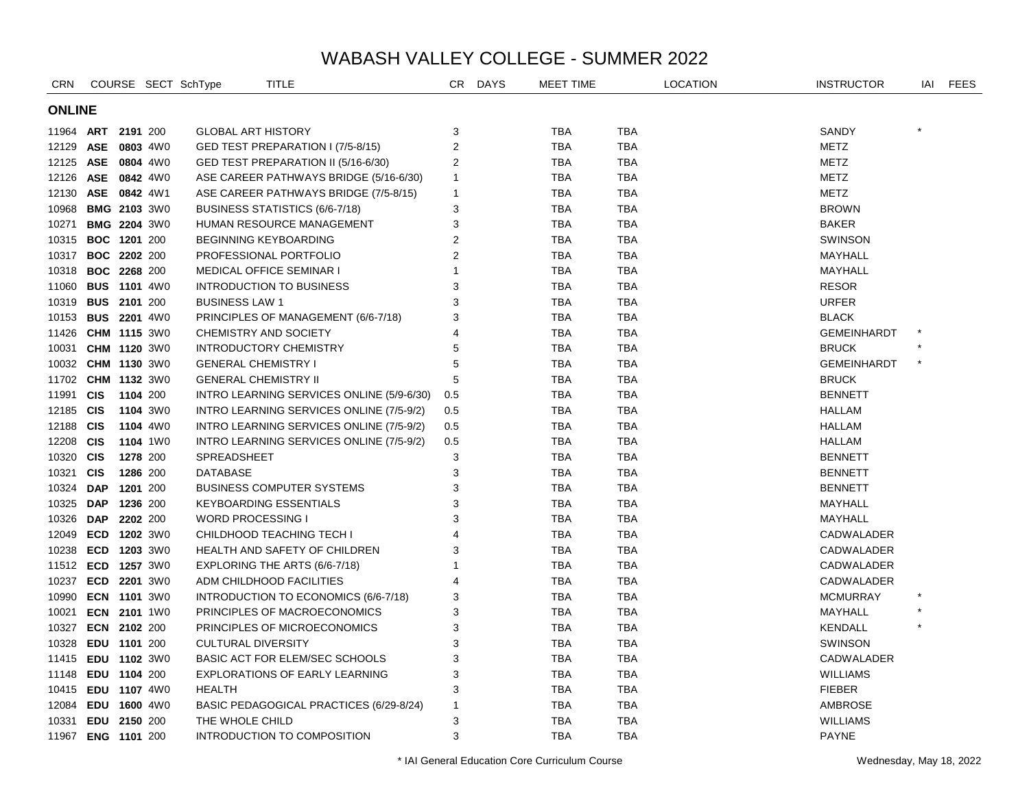| CRN                |                     |          |          | COURSE SECT SchType       | <b>TITLE</b>                              | CR                      | <b>DAYS</b> | MEET TIME  |            | <b>LOCATION</b> | <b>INSTRUCTOR</b>  | IAI     | <b>FEES</b> |
|--------------------|---------------------|----------|----------|---------------------------|-------------------------------------------|-------------------------|-------------|------------|------------|-----------------|--------------------|---------|-------------|
|                    | <b>ONLINE</b>       |          |          |                           |                                           |                         |             |            |            |                 |                    |         |             |
| 11964 ART 2191 200 |                     |          |          | GLOBAL ART HISTORY        |                                           | 3                       |             | <b>TBA</b> | <b>TBA</b> |                 | SANDY              |         |             |
| 12129              | ASE 0803 4W0        |          |          |                           | GED TEST PREPARATION I (7/5-8/15)         | $\overline{\mathbf{c}}$ |             | <b>TBA</b> | <b>TBA</b> |                 | <b>METZ</b>        |         |             |
| 12125 ASE 0804 4W0 |                     |          |          |                           | GED TEST PREPARATION II (5/16-6/30)       | 2                       |             | <b>TBA</b> | <b>TBA</b> |                 | METZ               |         |             |
|                    | 12126 ASE 0842 4W0  |          |          |                           | ASE CAREER PATHWAYS BRIDGE (5/16-6/30)    | $\mathbf{1}$            |             | <b>TBA</b> | <b>TBA</b> |                 | METZ               |         |             |
| 12130              | ASE 0842 4W1        |          |          |                           | ASE CAREER PATHWAYS BRIDGE (7/5-8/15)     | $\mathbf{1}$            |             | <b>TBA</b> | <b>TBA</b> |                 | <b>METZ</b>        |         |             |
| 10968              | <b>BMG 2103 3W0</b> |          |          |                           | BUSINESS STATISTICS (6/6-7/18)            | 3                       |             | <b>TBA</b> | <b>TBA</b> |                 | <b>BROWN</b>       |         |             |
| 10271              | <b>BMG 2204 3W0</b> |          |          |                           | HUMAN RESOURCE MANAGEMENT                 | 3                       |             | <b>TBA</b> | <b>TBA</b> |                 | <b>BAKER</b>       |         |             |
|                    | 10315 BOC 1201 200  |          |          |                           | <b>BEGINNING KEYBOARDING</b>              | 2                       |             | <b>TBA</b> | <b>TBA</b> |                 | <b>SWINSON</b>     |         |             |
| 10317              | <b>BOC 2202 200</b> |          |          |                           | PROFESSIONAL PORTFOLIO                    | 2                       |             | <b>TBA</b> | <b>TBA</b> |                 | MAYHALL            |         |             |
| 10318              | <b>BOC 2268 200</b> |          |          |                           | <b>MEDICAL OFFICE SEMINAR I</b>           | 1                       |             | <b>TBA</b> | <b>TBA</b> |                 | MAYHALL            |         |             |
| 11060              | <b>BUS 1101 4W0</b> |          |          |                           | <b>INTRODUCTION TO BUSINESS</b>           | 3                       |             | <b>TBA</b> | TBA        |                 | <b>RESOR</b>       |         |             |
| 10319              | <b>BUS 2101 200</b> |          |          | <b>BUSINESS LAW 1</b>     |                                           | 3                       |             | <b>TBA</b> | <b>TBA</b> |                 | <b>URFER</b>       |         |             |
| 10153              | <b>BUS 2201 4W0</b> |          |          |                           | PRINCIPLES OF MANAGEMENT (6/6-7/18)       | 3                       |             | <b>TBA</b> | <b>TBA</b> |                 | <b>BLACK</b>       |         |             |
| 11426 CHM 1115 3W0 |                     |          |          |                           | <b>CHEMISTRY AND SOCIETY</b>              | 4                       |             | TBA        | <b>TBA</b> |                 | <b>GEMEINHARDT</b> |         |             |
| 10031              | <b>CHM 1120 3W0</b> |          |          |                           | <b>INTRODUCTORY CHEMISTRY</b>             | 5                       |             | <b>TBA</b> | <b>TBA</b> |                 | <b>BRUCK</b>       |         |             |
| 10032 CHM 1130 3W0 |                     |          |          |                           | <b>GENERAL CHEMISTRY I</b>                | 5                       |             | <b>TBA</b> | <b>TBA</b> |                 | <b>GEMEINHARDT</b> | $\star$ |             |
| 11702 CHM 1132 3W0 |                     |          |          |                           | <b>GENERAL CHEMISTRY II</b>               | 5                       |             | <b>TBA</b> | <b>TBA</b> |                 | <b>BRUCK</b>       |         |             |
| 11991              | <b>CIS</b>          | 1104 200 |          |                           | INTRO LEARNING SERVICES ONLINE (5/9-6/30) | 0.5                     |             | TBA        | <b>TBA</b> |                 | <b>BENNETT</b>     |         |             |
| 12185 CIS          |                     |          | 1104 3W0 |                           | INTRO LEARNING SERVICES ONLINE (7/5-9/2)  | 0.5                     |             | TBA        | <b>TBA</b> |                 | HALLAM             |         |             |
| 12188 CIS          |                     |          | 1104 4W0 |                           | INTRO LEARNING SERVICES ONLINE (7/5-9/2)  | 0.5                     |             | TBA        | <b>TBA</b> |                 | HALLAM             |         |             |
| 12208 CIS          |                     |          | 1104 1W0 |                           | INTRO LEARNING SERVICES ONLINE (7/5-9/2)  | 0.5                     |             | <b>TBA</b> | <b>TBA</b> |                 | HALLAM             |         |             |
| 10320 CIS          |                     | 1278 200 |          | SPREADSHEET               |                                           | 3                       |             | TBA        | <b>TBA</b> |                 | <b>BENNETT</b>     |         |             |
| 10321 CIS          |                     | 1286 200 |          | DATABASE                  |                                           | 3                       |             | <b>TBA</b> | <b>TBA</b> |                 | <b>BENNETT</b>     |         |             |
| 10324              | <b>DAP</b>          | 1201 200 |          |                           | BUSINESS COMPUTER SYSTEMS                 | 3                       |             | <b>TBA</b> | <b>TBA</b> |                 | <b>BENNETT</b>     |         |             |
| 10325 DAP 1236 200 |                     |          |          |                           | <b>KEYBOARDING ESSENTIALS</b>             | 3                       |             | <b>TBA</b> | <b>TBA</b> |                 | MAYHALL            |         |             |
| 10326 DAP          |                     | 2202 200 |          | <b>WORD PROCESSING I</b>  |                                           | 3                       |             | TBA        | <b>TBA</b> |                 | MAYHALL            |         |             |
|                    | 12049 ECD 1202 3W0  |          |          |                           | CHILDHOOD TEACHING TECH I                 | 4                       |             | <b>TBA</b> | <b>TBA</b> |                 | CADWALADER         |         |             |
| 10238              | ECD 1203 3W0        |          |          |                           | HEALTH AND SAFETY OF CHILDREN             | 3                       |             | TBA        | <b>TBA</b> |                 | CADWALADER         |         |             |
| 11512 ECD 1257 3W0 |                     |          |          |                           | EXPLORING THE ARTS (6/6-7/18)             |                         |             | <b>TBA</b> | <b>TBA</b> |                 | CADWALADER         |         |             |
| 10237              | ECD 2201 3W0        |          |          |                           | ADM CHILDHOOD FACILITIES                  | 4                       |             | TBA        | <b>TBA</b> |                 | CADWALADER         |         |             |
| 10990              | <b>ECN 1101 3W0</b> |          |          |                           | INTRODUCTION TO ECONOMICS (6/6-7/18)      | 3                       |             | TBA        | <b>TBA</b> |                 | <b>MCMURRAY</b>    |         |             |
| 10021              | ECN 2101 1W0        |          |          |                           | PRINCIPLES OF MACROECONOMICS              | 3                       |             | <b>TBA</b> | <b>TBA</b> |                 | MAYHALL            |         |             |
| 10327              | ECN 2102 200        |          |          |                           | PRINCIPLES OF MICROECONOMICS              | 3                       |             | <b>TBA</b> | <b>TBA</b> |                 | <b>KENDALL</b>     |         |             |
| 10328              | EDU 1101 200        |          |          | <b>CULTURAL DIVERSITY</b> |                                           | 3                       |             | <b>TBA</b> | <b>TBA</b> |                 | <b>SWINSON</b>     |         |             |
| 11415 EDU 1102 3W0 |                     |          |          |                           | BASIC ACT FOR ELEM/SEC SCHOOLS            | 3                       |             | <b>TBA</b> | <b>TBA</b> |                 | CADWALADER         |         |             |
| 11148              | EDU 1104 200        |          |          |                           | <b>EXPLORATIONS OF EARLY LEARNING</b>     | 3                       |             | <b>TBA</b> | <b>TBA</b> |                 | <b>WILLIAMS</b>    |         |             |
| 10415 EDU 1107 4W0 |                     |          |          | <b>HEALTH</b>             |                                           | 3                       |             | TBA        | <b>TBA</b> |                 | <b>FIEBER</b>      |         |             |
| 12084              | EDU 1600 4W0        |          |          |                           | BASIC PEDAGOGICAL PRACTICES (6/29-8/24)   | $\mathbf{1}$            |             | TBA        | TBA        |                 | AMBROSE            |         |             |
| 10331              | EDU 2150 200        |          |          | THE WHOLE CHILD           |                                           | 3                       |             | TBA        | TBA        |                 | <b>WILLIAMS</b>    |         |             |
| 11967 ENG 1101 200 |                     |          |          |                           | INTRODUCTION TO COMPOSITION               | 3                       |             | <b>TBA</b> | <b>TBA</b> |                 | <b>PAYNE</b>       |         |             |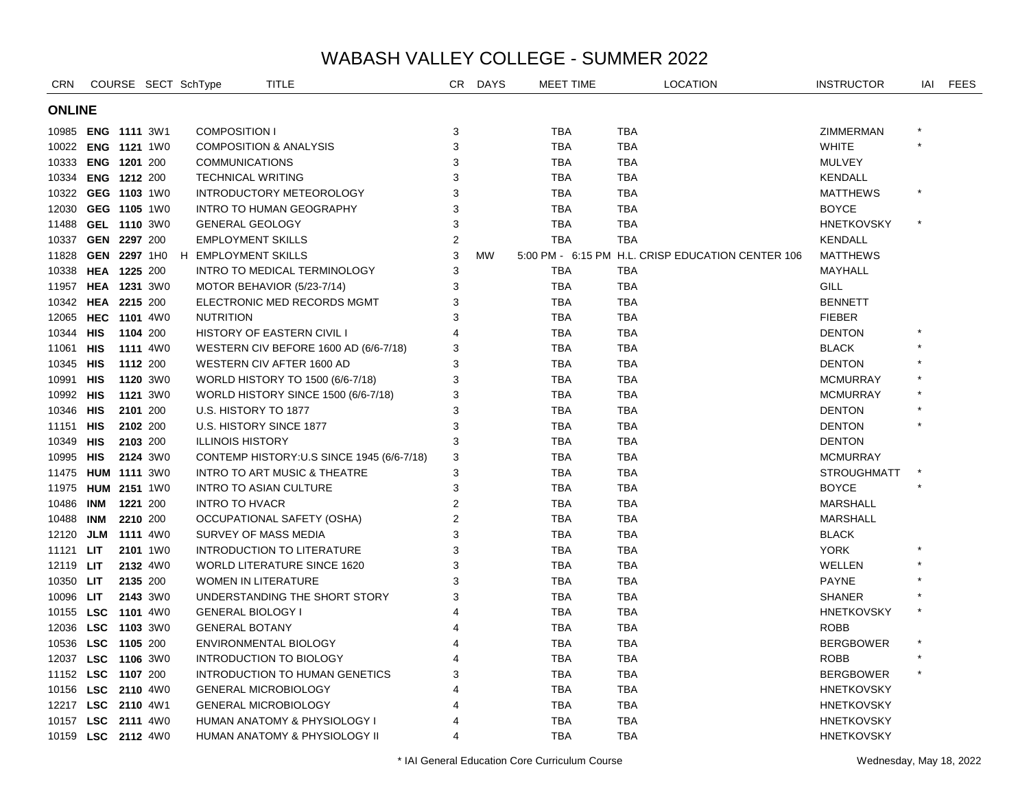| <b>CRN</b>         |                     |          |                 | COURSE SECT SchType      | TITLE                                      | CR.            | <b>DAYS</b> | <b>MEET TIME</b> | <b>LOCATION</b>                                   |  | <b>INSTRUCTOR</b>  | IAI     | FEES |
|--------------------|---------------------|----------|-----------------|--------------------------|--------------------------------------------|----------------|-------------|------------------|---------------------------------------------------|--|--------------------|---------|------|
|                    | <b>ONLINE</b>       |          |                 |                          |                                            |                |             |                  |                                                   |  |                    |         |      |
|                    | 10985 ENG 1111 3W1  |          |                 | <b>COMPOSITION I</b>     |                                            | 3              |             | <b>TBA</b>       | TBA                                               |  | ZIMMERMAN          |         |      |
|                    | 10022 ENG 1121 1W0  |          |                 |                          | <b>COMPOSITION &amp; ANALYSIS</b>          | 3              |             | <b>TBA</b>       | TBA                                               |  | <b>WHITE</b>       |         |      |
|                    | 10333 ENG 1201 200  |          |                 | <b>COMMUNICATIONS</b>    |                                            | 3              |             | <b>TBA</b>       | TBA                                               |  | <b>MULVEY</b>      |         |      |
| 10334              | ENG 1212 200        |          |                 | <b>TECHNICAL WRITING</b> |                                            | 3              |             | <b>TBA</b>       | <b>TBA</b>                                        |  | <b>KENDALL</b>     |         |      |
|                    | 10322 GEG 1103 1W0  |          |                 |                          | INTRODUCTORY METEOROLOGY                   | 3              |             | <b>TBA</b>       | <b>TBA</b>                                        |  | <b>MATTHEWS</b>    |         |      |
| 12030              | GEG 1105 1W0        |          |                 |                          | <b>INTRO TO HUMAN GEOGRAPHY</b>            | 3              |             | <b>TBA</b>       | <b>TBA</b>                                        |  | <b>BOYCE</b>       |         |      |
| 11488              | GEL 1110 3W0        |          |                 | <b>GENERAL GEOLOGY</b>   |                                            | 3              |             | <b>TBA</b>       | <b>TBA</b>                                        |  | <b>HNETKOVSKY</b>  |         |      |
| 10337              | GEN 2297 200        |          |                 | <b>EMPLOYMENT SKILLS</b> |                                            | $\overline{2}$ |             | <b>TBA</b>       | <b>TBA</b>                                        |  | <b>KENDALL</b>     |         |      |
| 11828              | GEN 2297 1H0        |          |                 | H EMPLOYMENT SKILLS      |                                            | 3              | <b>MW</b>   |                  | 5:00 PM - 6:15 PM H.L. CRISP EDUCATION CENTER 106 |  | <b>MATTHEWS</b>    |         |      |
| 10338              | HEA 1225 200        |          |                 |                          | INTRO TO MEDICAL TERMINOLOGY               | 3              |             | <b>TBA</b>       | <b>TBA</b>                                        |  | MAYHALL            |         |      |
| 11957              | HEA 1231 3W0        |          |                 |                          | MOTOR BEHAVIOR (5/23-7/14)                 | 3              |             | <b>TBA</b>       | <b>TBA</b>                                        |  | <b>GILL</b>        |         |      |
|                    | 10342 HEA 2215 200  |          |                 |                          | ELECTRONIC MED RECORDS MGMT                | 3              |             | <b>TBA</b>       | <b>TBA</b>                                        |  | <b>BENNETT</b>     |         |      |
|                    | 12065 HEC 1101 4W0  |          |                 | <b>NUTRITION</b>         |                                            | 3              |             | <b>TBA</b>       | <b>TBA</b>                                        |  | <b>FIEBER</b>      |         |      |
| 10344              | <b>HIS</b>          | 1104 200 |                 |                          | HISTORY OF EASTERN CIVIL I                 | 4              |             | <b>TBA</b>       | <b>TBA</b>                                        |  | <b>DENTON</b>      |         |      |
| 11061              | <b>HIS</b>          |          | <b>1111</b> 4W0 |                          | WESTERN CIV BEFORE 1600 AD (6/6-7/18)      | 3              |             | <b>TBA</b>       | <b>TBA</b>                                        |  | <b>BLACK</b>       |         |      |
| 10345 HIS          |                     |          | 1112 200        |                          | WESTERN CIV AFTER 1600 AD                  | 3              |             | <b>TBA</b>       | <b>TBA</b>                                        |  | <b>DENTON</b>      |         |      |
| 10991              | <b>HIS</b>          |          | 1120 3W0        |                          | WORLD HISTORY TO 1500 (6/6-7/18)           | 3              |             | <b>TBA</b>       | <b>TBA</b>                                        |  | <b>MCMURRAY</b>    |         |      |
| 10992 HIS          |                     |          | 1121 3W0        |                          | WORLD HISTORY SINCE 1500 (6/6-7/18)        | 3              |             | <b>TBA</b>       | <b>TBA</b>                                        |  | <b>MCMURRAY</b>    |         |      |
| 10346              | HIS                 |          | 2101 200        | U.S. HISTORY TO 1877     |                                            | 3              |             | <b>TBA</b>       | <b>TBA</b>                                        |  | <b>DENTON</b>      |         |      |
| 11151              | <b>HIS</b>          | 2102 200 |                 |                          | U.S. HISTORY SINCE 1877                    | 3              |             | <b>TBA</b>       | <b>TBA</b>                                        |  | <b>DENTON</b>      |         |      |
| 10349              | <b>HIS</b>          | 2103 200 |                 | <b>ILLINOIS HISTORY</b>  |                                            | 3              |             | <b>TBA</b>       | <b>TBA</b>                                        |  | <b>DENTON</b>      |         |      |
| 10995 HIS          |                     |          | 2124 3W0        |                          | CONTEMP HISTORY: U.S SINCE 1945 (6/6-7/18) | 3              |             | <b>TBA</b>       | <b>TBA</b>                                        |  | <b>MCMURRAY</b>    |         |      |
| 11475              | <b>HUM 1111 3W0</b> |          |                 |                          | <b>INTRO TO ART MUSIC &amp; THEATRE</b>    | 3              |             | <b>TBA</b>       | <b>TBA</b>                                        |  | <b>STROUGHMATT</b> |         |      |
| 11975 HUM 2151 1W0 |                     |          |                 |                          | <b>INTRO TO ASIAN CULTURE</b>              | 3              |             | <b>TBA</b>       | <b>TBA</b>                                        |  | <b>BOYCE</b>       |         |      |
| 10486              | INM                 | 1221 200 |                 | <b>INTRO TO HVACR</b>    |                                            | $\overline{2}$ |             | <b>TBA</b>       | <b>TBA</b>                                        |  | <b>MARSHALL</b>    |         |      |
| 10488              | INM                 | 2210 200 |                 |                          | OCCUPATIONAL SAFETY (OSHA)                 | $\overline{2}$ |             | <b>TBA</b>       | <b>TBA</b>                                        |  | <b>MARSHALL</b>    |         |      |
| 12120              | <b>JLM 1111 4W0</b> |          |                 |                          | SURVEY OF MASS MEDIA                       | 3              |             | <b>TBA</b>       | <b>TBA</b>                                        |  | <b>BLACK</b>       |         |      |
| 11121              | LIT.                |          | 2101 1W0        |                          | <b>INTRODUCTION TO LITERATURE</b>          | 3              |             | <b>TBA</b>       | <b>TBA</b>                                        |  | <b>YORK</b>        |         |      |
| 12119 LIT          |                     |          | 2132 4W0        |                          | <b>WORLD LITERATURE SINCE 1620</b>         | 3              |             | <b>TBA</b>       | <b>TBA</b>                                        |  | WELLEN             |         |      |
| 10350 LIT          |                     |          | 2135 200        |                          | WOMEN IN LITERATURE                        | 3              |             | <b>TBA</b>       | TBA                                               |  | <b>PAYNE</b>       |         |      |
| 10096 LIT          |                     |          | 2143 3W0        |                          | UNDERSTANDING THE SHORT STORY              | 3              |             | <b>TBA</b>       | <b>TBA</b>                                        |  | <b>SHANER</b>      |         |      |
|                    | 10155 LSC 1101 4W0  |          |                 | <b>GENERAL BIOLOGY I</b> |                                            |                |             | <b>TBA</b>       | TBA                                               |  | <b>HNETKOVSKY</b>  | $\star$ |      |
|                    | 12036 LSC 1103 3W0  |          |                 | <b>GENERAL BOTANY</b>    |                                            |                |             | <b>TBA</b>       | TBA                                               |  | <b>ROBB</b>        |         |      |
|                    | 10536 LSC 1105 200  |          |                 |                          | ENVIRONMENTAL BIOLOGY                      |                |             | <b>TBA</b>       | TBA                                               |  | <b>BERGBOWER</b>   |         |      |
| 12037              | LSC 1106 3W0        |          |                 |                          | INTRODUCTION TO BIOLOGY                    |                |             | <b>TBA</b>       | <b>TBA</b>                                        |  | <b>ROBB</b>        |         |      |
| 11152 LSC 1107 200 |                     |          |                 |                          | INTRODUCTION TO HUMAN GENETICS             |                |             | <b>TBA</b>       | TBA                                               |  | <b>BERGBOWER</b>   |         |      |
|                    | 10156 LSC 2110 4W0  |          |                 |                          | <b>GENERAL MICROBIOLOGY</b>                |                |             | <b>TBA</b>       | TBA                                               |  | <b>HNETKOVSKY</b>  |         |      |
|                    | 12217 LSC 2110 4W1  |          |                 |                          | <b>GENERAL MICROBIOLOGY</b>                |                |             | <b>TBA</b>       | <b>TBA</b>                                        |  | HNETKOVSKY         |         |      |
|                    | 10157 LSC 2111 4W0  |          |                 |                          | HUMAN ANATOMY & PHYSIOLOGY I               |                |             | <b>TBA</b>       | <b>TBA</b>                                        |  | <b>HNETKOVSKY</b>  |         |      |
|                    | 10159 LSC 2112 4W0  |          |                 |                          | HUMAN ANATOMY & PHYSIOLOGY II              | 4              |             | <b>TBA</b>       | <b>TBA</b>                                        |  | <b>HNETKOVSKY</b>  |         |      |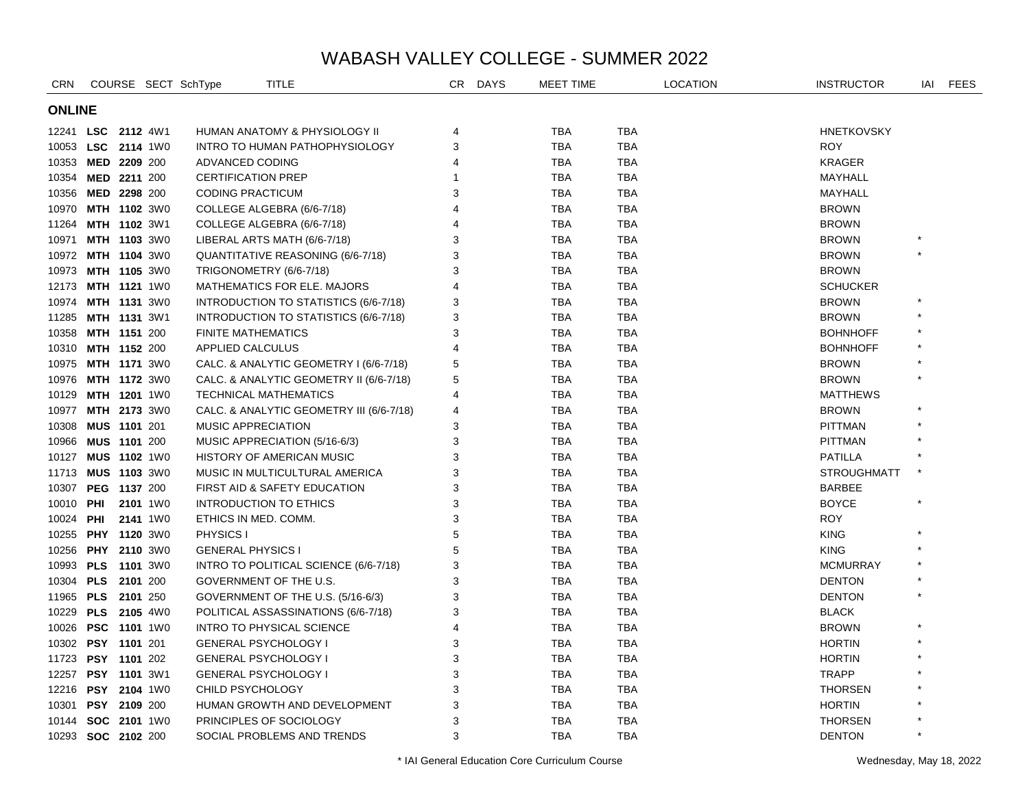| CRN                |                     |  |          | COURSE SECT SchType       | <b>TITLE</b>                             | CR | <b>DAYS</b> | MEET TIME  |            | <b>LOCATION</b> | <b>INSTRUCTOR</b>  | IAI     | <b>FEES</b> |
|--------------------|---------------------|--|----------|---------------------------|------------------------------------------|----|-------------|------------|------------|-----------------|--------------------|---------|-------------|
|                    | <b>ONLINE</b>       |  |          |                           |                                          |    |             |            |            |                 |                    |         |             |
|                    | 12241 LSC 2112 4W1  |  |          |                           | HUMAN ANATOMY & PHYSIOLOGY II            | 4  |             | <b>TBA</b> | <b>TBA</b> |                 | <b>HNETKOVSKY</b>  |         |             |
|                    | 10053 LSC 2114 1W0  |  |          |                           | INTRO TO HUMAN PATHOPHYSIOLOGY           | 3  |             | <b>TBA</b> | <b>TBA</b> |                 | <b>ROY</b>         |         |             |
|                    | 10353 MED 2209 200  |  |          | ADVANCED CODING           |                                          | 4  |             | <b>TBA</b> | <b>TBA</b> |                 | <b>KRAGER</b>      |         |             |
|                    | 10354 MED 2211 200  |  |          | <b>CERTIFICATION PREP</b> |                                          | 1  |             | <b>TBA</b> | <b>TBA</b> |                 | MAYHALL            |         |             |
|                    | 10356 MED 2298 200  |  |          | <b>CODING PRACTICUM</b>   |                                          | 3  |             | <b>TBA</b> | <b>TBA</b> |                 | MAYHALL            |         |             |
| 10970              | MTH 1102 3W0        |  |          |                           | COLLEGE ALGEBRA (6/6-7/18)               | 4  |             | <b>TBA</b> | <b>TBA</b> |                 | <b>BROWN</b>       |         |             |
| 11264              | MTH 1102 3W1        |  |          |                           | COLLEGE ALGEBRA (6/6-7/18)               | 4  |             | <b>TBA</b> | <b>TBA</b> |                 | <b>BROWN</b>       |         |             |
| 10971              | MTH 1103 3W0        |  |          |                           | LIBERAL ARTS MATH (6/6-7/18)             | 3  |             | <b>TBA</b> | <b>TBA</b> |                 | <b>BROWN</b>       |         |             |
|                    | 10972 MTH 1104 3W0  |  |          |                           | QUANTITATIVE REASONING (6/6-7/18)        | 3  |             | <b>TBA</b> | <b>TBA</b> |                 | <b>BROWN</b>       |         |             |
| 10973              | MTH 1105 3W0        |  |          |                           | TRIGONOMETRY (6/6-7/18)                  | 3  |             | <b>TBA</b> | <b>TBA</b> |                 | <b>BROWN</b>       |         |             |
|                    | 12173 MTH 1121 1W0  |  |          |                           | <b>MATHEMATICS FOR ELE. MAJORS</b>       | 4  |             | <b>TBA</b> | <b>TBA</b> |                 | <b>SCHUCKER</b>    |         |             |
| 10974              | <b>MTH 1131 3W0</b> |  |          |                           | INTRODUCTION TO STATISTICS (6/6-7/18)    | 3  |             | <b>TBA</b> | <b>TBA</b> |                 | <b>BROWN</b>       |         |             |
| 11285              | MTH 1131 3W1        |  |          |                           | INTRODUCTION TO STATISTICS (6/6-7/18)    | 3  |             | <b>TBA</b> | <b>TBA</b> |                 | <b>BROWN</b>       |         |             |
| 10358              | MTH 1151 200        |  |          | <b>FINITE MATHEMATICS</b> |                                          | 3  |             | TBA        | <b>TBA</b> |                 | <b>BOHNHOFF</b>    |         |             |
|                    | 10310 MTH 1152 200  |  |          | <b>APPLIED CALCULUS</b>   |                                          | 4  |             | <b>TBA</b> | <b>TBA</b> |                 | <b>BOHNHOFF</b>    |         |             |
| 10975              | <b>MTH 1171 3W0</b> |  |          |                           | CALC. & ANALYTIC GEOMETRY I (6/6-7/18)   | 5  |             | <b>TBA</b> | <b>TBA</b> |                 | <b>BROWN</b>       |         |             |
| 10976              | <b>MTH 1172 3W0</b> |  |          |                           | CALC. & ANALYTIC GEOMETRY II (6/6-7/18)  | 5  |             | <b>TBA</b> | <b>TBA</b> |                 | <b>BROWN</b>       |         |             |
| 10129              | <b>MTH 1201</b> 1W0 |  |          |                           | <b>TECHNICAL MATHEMATICS</b>             | 4  |             | TBA        | <b>TBA</b> |                 | <b>MATTHEWS</b>    |         |             |
| 10977              | <b>MTH 2173</b> 3W0 |  |          |                           | CALC. & ANALYTIC GEOMETRY III (6/6-7/18) | 4  |             | <b>TBA</b> | <b>TBA</b> |                 | <b>BROWN</b>       |         |             |
| 10308              | MUS 1101 201        |  |          | <b>MUSIC APPRECIATION</b> |                                          | 3  |             | <b>TBA</b> | <b>TBA</b> |                 | <b>PITTMAN</b>     |         |             |
|                    | 10966 MUS 1101 200  |  |          |                           | MUSIC APPRECIATION (5/16-6/3)            | 3  |             | <b>TBA</b> | <b>TBA</b> |                 | <b>PITTMAN</b>     |         |             |
| 10127              | MUS 1102 1W0        |  |          |                           | HISTORY OF AMERICAN MUSIC                | 3  |             | <b>TBA</b> | <b>TBA</b> |                 | <b>PATILLA</b>     |         |             |
| 11713 MUS 1103 3W0 |                     |  |          |                           | MUSIC IN MULTICULTURAL AMERICA           | 3  |             | <b>TBA</b> | <b>TBA</b> |                 | <b>STROUGHMATT</b> |         |             |
| 10307              | PEG 1137 200        |  |          |                           | FIRST AID & SAFETY EDUCATION             | 3  |             | <b>TBA</b> | <b>TBA</b> |                 | <b>BARBEE</b>      |         |             |
| 10010 <b>PHI</b>   |                     |  | 2101 1W0 |                           | <b>INTRODUCTION TO ETHICS</b>            | 3  |             | <b>TBA</b> | <b>TBA</b> |                 | <b>BOYCE</b>       |         |             |
| 10024              | PHI                 |  | 2141 1W0 |                           | ETHICS IN MED. COMM.                     | 3  |             | <b>TBA</b> | <b>TBA</b> |                 | <b>ROY</b>         |         |             |
| 10255              | PHY 1120 3W0        |  |          | PHYSICS I                 |                                          | 5  |             | <b>TBA</b> | <b>TBA</b> |                 | <b>KING</b>        |         |             |
| 10256              | <b>PHY 2110 3W0</b> |  |          | <b>GENERAL PHYSICS I</b>  |                                          | 5  |             | <b>TBA</b> | <b>TBA</b> |                 | <b>KING</b>        |         |             |
|                    | 10993 PLS 1101 3W0  |  |          |                           | INTRO TO POLITICAL SCIENCE (6/6-7/18)    | 3  |             | <b>TBA</b> | <b>TBA</b> |                 | <b>MCMURRAY</b>    |         |             |
|                    | 10304 PLS 2101 200  |  |          |                           | GOVERNMENT OF THE U.S.                   | 3  |             | <b>TBA</b> | <b>TBA</b> |                 | <b>DENTON</b>      |         |             |
| 11965 PLS 2101 250 |                     |  |          |                           | GOVERNMENT OF THE U.S. (5/16-6/3)        | 3  |             | <b>TBA</b> | <b>TBA</b> |                 | <b>DENTON</b>      |         |             |
| 10229 PLS 2105 4W0 |                     |  |          |                           | POLITICAL ASSASSINATIONS (6/6-7/18)      | 3  |             | <b>TBA</b> | <b>TBA</b> |                 | <b>BLACK</b>       |         |             |
|                    | 10026 PSC 1101 1W0  |  |          |                           | <b>INTRO TO PHYSICAL SCIENCE</b>         | 4  |             | <b>TBA</b> | <b>TBA</b> |                 | <b>BROWN</b>       |         |             |
|                    | 10302 PSY 1101 201  |  |          |                           | <b>GENERAL PSYCHOLOGY I</b>              | 3  |             | <b>TBA</b> | <b>TBA</b> |                 | <b>HORTIN</b>      |         |             |
| 11723 PSY 1101 202 |                     |  |          |                           | <b>GENERAL PSYCHOLOGY I</b>              | 3  |             | <b>TBA</b> | <b>TBA</b> |                 | <b>HORTIN</b>      |         |             |
| 12257              | PSY 1101 3W1        |  |          |                           | <b>GENERAL PSYCHOLOGY I</b>              | 3  |             | <b>TBA</b> | <b>TBA</b> |                 | <b>TRAPP</b>       |         |             |
|                    | 12216 PSY 2104 1W0  |  |          | CHILD PSYCHOLOGY          |                                          | 3  |             | <b>TBA</b> | <b>TBA</b> |                 | <b>THORSEN</b>     |         |             |
| 10301              | PSY 2109 200        |  |          |                           | HUMAN GROWTH AND DEVELOPMENT             | 3  |             | TBA        | TBA        |                 | <b>HORTIN</b>      |         |             |
|                    | 10144 SOC 2101 1W0  |  |          |                           | PRINCIPLES OF SOCIOLOGY                  | 3  |             | <b>TBA</b> | TBA        |                 | <b>THORSEN</b>     |         |             |
|                    | 10293 SOC 2102 200  |  |          |                           | SOCIAL PROBLEMS AND TRENDS               | 3  |             | <b>TBA</b> | <b>TBA</b> |                 | <b>DENTON</b>      | $\star$ |             |